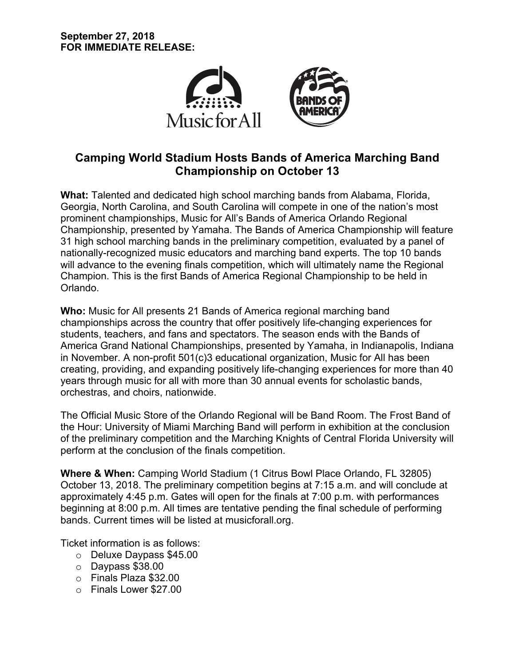

# **Camping World Stadium Hosts Bands of America Marching Band Championship on October 13**

**What:** Talented and dedicated high school marching bands from Alabama, Florida, Georgia, North Carolina, and South Carolina will compete in one of the nation's most prominent championships, Music for All's Bands of America Orlando Regional Championship, presented by Yamaha. The Bands of America Championship will feature 31 high school marching bands in the preliminary competition, evaluated by a panel of nationally-recognized music educators and marching band experts. The top 10 bands will advance to the evening finals competition, which will ultimately name the Regional Champion. This is the first Bands of America Regional Championship to be held in Orlando.

**Who:** Music for All presents 21 Bands of America regional marching band championships across the country that offer positively life-changing experiences for students, teachers, and fans and spectators. The season ends with the Bands of America Grand National Championships, presented by Yamaha, in Indianapolis, Indiana in November. A non-profit 501(c)3 educational organization, Music for All has been creating, providing, and expanding positively life-changing experiences for more than 40 years through music for all with more than 30 annual events for scholastic bands, orchestras, and choirs, nationwide.

The Official Music Store of the Orlando Regional will be Band Room. The Frost Band of the Hour: University of Miami Marching Band will perform in exhibition at the conclusion of the preliminary competition and the Marching Knights of Central Florida University will perform at the conclusion of the finals competition.

**Where & When:** Camping World Stadium (1 Citrus Bowl Place Orlando, FL 32805) October 13, 2018. The preliminary competition begins at 7:15 a.m. and will conclude at approximately 4:45 p.m. Gates will open for the finals at 7:00 p.m. with performances beginning at 8:00 p.m. All times are tentative pending the final schedule of performing bands. Current times will be listed at musicforall.org.

Ticket information is as follows:

- o Deluxe Daypass \$45.00
- o Daypass \$38.00
- o Finals Plaza \$32.00
- o Finals Lower \$27.00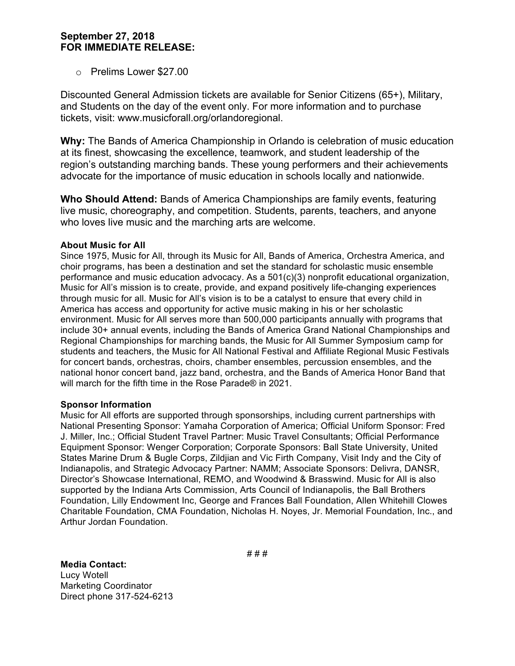## **September 27, 2018 FOR IMMEDIATE RELEASE:**

o Prelims Lower \$27.00

Discounted General Admission tickets are available for Senior Citizens (65+), Military, and Students on the day of the event only. For more information and to purchase tickets, visit: www.musicforall.org/orlandoregional.

**Why:** The Bands of America Championship in Orlando is celebration of music education at its finest, showcasing the excellence, teamwork, and student leadership of the region's outstanding marching bands. These young performers and their achievements advocate for the importance of music education in schools locally and nationwide.

**Who Should Attend:** Bands of America Championships are family events, featuring live music, choreography, and competition. Students, parents, teachers, and anyone who loves live music and the marching arts are welcome.

### **About Music for All**

Since 1975, Music for All, through its Music for All, Bands of America, Orchestra America, and choir programs, has been a destination and set the standard for scholastic music ensemble performance and music education advocacy. As a 501(c)(3) nonprofit educational organization, Music for All's mission is to create, provide, and expand positively life-changing experiences through music for all. Music for All's vision is to be a catalyst to ensure that every child in America has access and opportunity for active music making in his or her scholastic environment. Music for All serves more than 500,000 participants annually with programs that include 30+ annual events, including the Bands of America Grand National Championships and Regional Championships for marching bands, the Music for All Summer Symposium camp for students and teachers, the Music for All National Festival and Affiliate Regional Music Festivals for concert bands, orchestras, choirs, chamber ensembles, percussion ensembles, and the national honor concert band, jazz band, orchestra, and the Bands of America Honor Band that will march for the fifth time in the Rose Parade® in 2021.

#### **Sponsor Information**

Music for All efforts are supported through sponsorships, including current partnerships with National Presenting Sponsor: Yamaha Corporation of America; Official Uniform Sponsor: Fred J. Miller, Inc.; Official Student Travel Partner: Music Travel Consultants; Official Performance Equipment Sponsor: Wenger Corporation; Corporate Sponsors: Ball State University, United States Marine Drum & Bugle Corps, Zildjian and Vic Firth Company, Visit Indy and the City of Indianapolis, and Strategic Advocacy Partner: NAMM; Associate Sponsors: Delivra, DANSR, Director's Showcase International, REMO, and Woodwind & Brasswind. Music for All is also supported by the Indiana Arts Commission, Arts Council of Indianapolis, the Ball Brothers Foundation, Lilly Endowment Inc, George and Frances Ball Foundation, Allen Whitehill Clowes Charitable Foundation, CMA Foundation, Nicholas H. Noyes, Jr. Memorial Foundation, Inc., and Arthur Jordan Foundation.

**Media Contact:** 

Lucy Wotell Marketing Coordinator Direct phone 317-524-6213 # # #